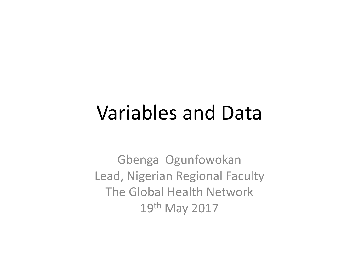#### Variables and Data

Gbenga Ogunfowokan Lead, Nigerian Regional Faculty The Global Health Network 19th May 2017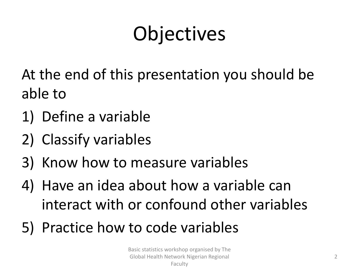# **Objectives**

At the end of this presentation you should be able to

- 1) Define a variable
- 2) Classify variables
- 3) Know how to measure variables
- 4) Have an idea about how a variable can interact with or confound other variables
- 5) Practice how to code variables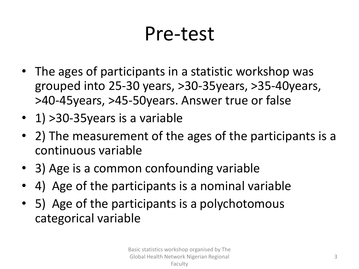### Pre-test

- The ages of participants in a statistic workshop was grouped into 25-30 years, >30-35years, >35-40years, >40-45years, >45-50years. Answer true or false
- 1) > 30 35 years is a variable
- 2) The measurement of the ages of the participants is a continuous variable
- 3) Age is a common confounding variable
- 4) Age of the participants is a nominal variable
- 5) Age of the participants is a polychotomous categorical variable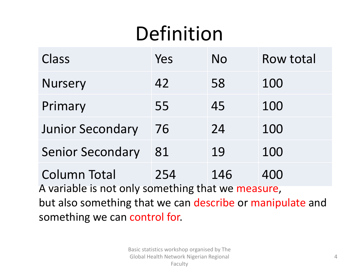# Definition

| Class                                                                                                                              | Yes | No  | <b>Row total</b> |
|------------------------------------------------------------------------------------------------------------------------------------|-----|-----|------------------|
| <b>Nursery</b>                                                                                                                     | 42  | 58  | 100              |
| Primary                                                                                                                            | 55  | 45  | 100              |
| <b>Junior Secondary</b>                                                                                                            | 76  | 24  | 100              |
| <b>Senior Secondary</b>                                                                                                            | 81  | 19  | 100              |
| <b>Column Total</b>                                                                                                                | 254 | 146 | 400              |
| A variable is not only something that we measure,<br>بالمقاربون ويتمرض ويماج والسموم أوالمرموم لمربط والمستحدث والممتحدة والمستحدث |     |     |                  |

but also something that we can describe or manipulate and something we can control for.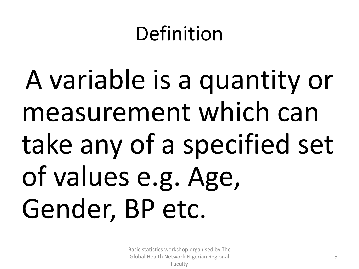### Definition

A variable is a quantity or measurement which can take any of a specified set of values e.g. Age, Gender, BP etc.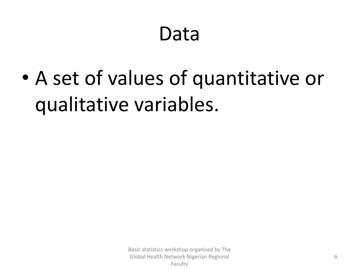### Data

• A set of values of quantitative or qualitative variables.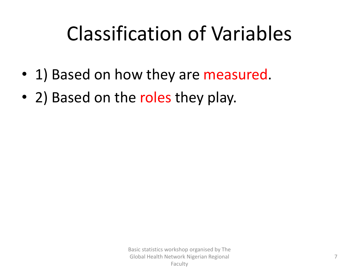## Classification of Variables

- 1) Based on how they are measured.
- 2) Based on the roles they play.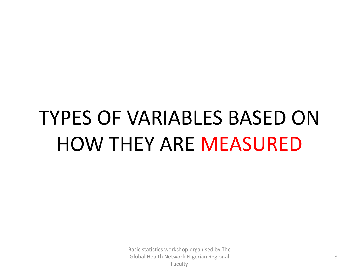# TYPES OF VARIABLES BASED ON HOW THEY ARE MEASURED

Basic statistics workshop organised by The Global Health Network Nigerian Regional Faculty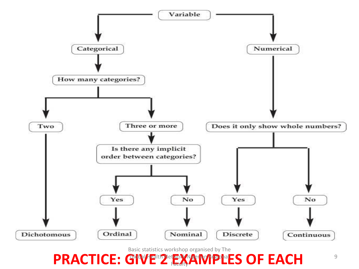

Basic statistics workshop organised by The

PRACTICE: GIVE<sup>th Det</sup>RACTICE: GIVE 2 **EXAMPLES OF EACH** Faculty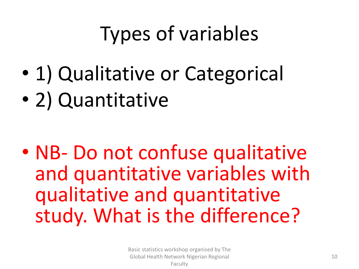# Types of variables

- 1) Qualitative or Categorical
- 2) Quantitative

• NB- Do not confuse qualitative and quantitative variables with qualitative and quantitative study. What is the difference?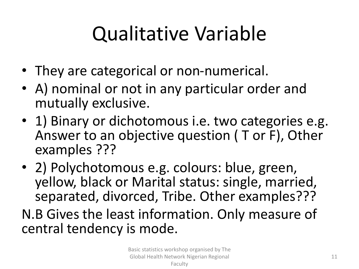## Qualitative Variable

- They are categorical or non-numerical.
- A) nominal or not in any particular order and mutually exclusive.
- 1) Binary or dichotomous i.e. two categories e.g. Answer to an objective question ( T or F), Other examples ???
- 2) Polychotomous e.g. colours: blue, green, yellow, black or Marital status: single, married, separated, divorced, Tribe. Other examples???
- N.B Gives the least information. Only measure of central tendency is mode.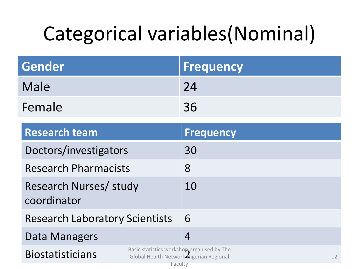# Categorical variables(Nominal)

| Gender | <b>Frequency</b> |
|--------|------------------|
| Male   | 24               |
| Female | 36               |

| <b>Research team</b>                                                                                                        | Frequency         |
|-----------------------------------------------------------------------------------------------------------------------------|-------------------|
| Doctors/investigators                                                                                                       | 30                |
| <b>Research Pharmacists</b>                                                                                                 | 8                 |
| Research Nurses/ study<br>coordinator                                                                                       | 10                |
| <b>Research Laboratory Scientists</b>                                                                                       | 6                 |
| Data Managers                                                                                                               | $\overline{4}$    |
| Basic statistics workshop organised by The<br><b>Biostatisticians</b><br>Global Health Network Nigerian Regional<br>Faculty | $12 \overline{ }$ |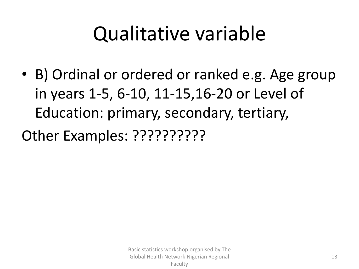### Qualitative variable

• B) Ordinal or ordered or ranked e.g. Age group in years 1-5, 6-10, 11-15,16-20 or Level of Education: primary, secondary, tertiary,

Other Examples: ??????????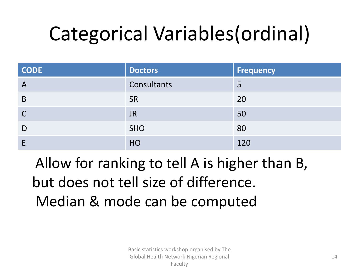# Categorical Variables(ordinal)

| <b>CODE</b>  | <b>Doctors</b> | <b>Frequency</b> |
|--------------|----------------|------------------|
| $\mathsf{A}$ | Consultants    | 5                |
| B            | <b>SR</b>      | 20               |
| C            | <b>JR</b>      | 50               |
| D            | <b>SHO</b>     | 80               |
|              | HO             | 120              |

Allow for ranking to tell A is higher than B, but does not tell size of difference. Median & mode can be computed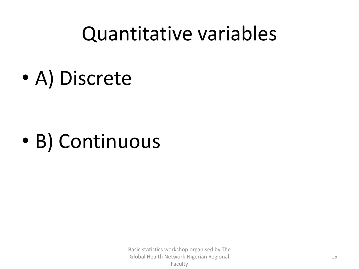### Quantitative variables

• A) Discrete

## • B) Continuous

Basic statistics workshop organised by The Global Health Network Nigerian Regional Faculty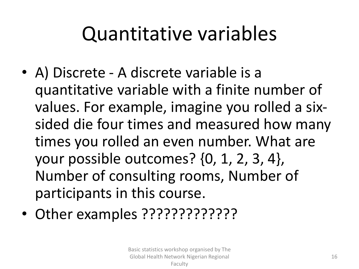### Quantitative variables

- A) Discrete A discrete variable is a quantitative variable with a finite number of values. For example, imagine you rolled a sixsided die four times and measured how many times you rolled an even number. What are your possible outcomes? {0, 1, 2, 3, 4}, Number of consulting rooms, Number of participants in this course.
- Other examples ?????????????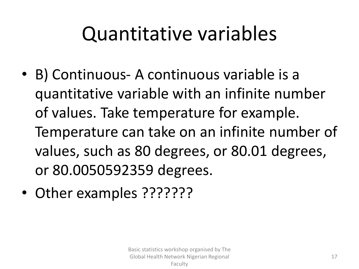### Quantitative variables

- B) Continuous- A continuous variable is a quantitative variable with an infinite number of values. Take temperature for example. Temperature can take on an infinite number of values, such as 80 degrees, or 80.01 degrees, or 80.0050592359 degrees.
- Other examples ???????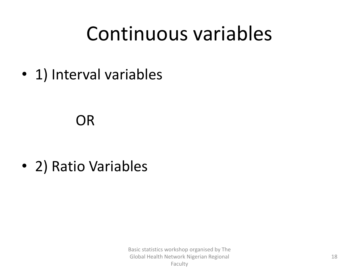### Continuous variables

• 1) Interval variables

#### OR

• 2) Ratio Variables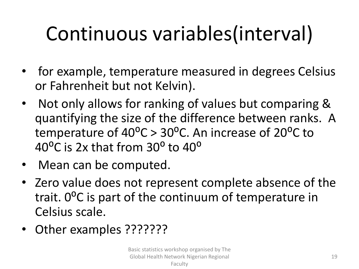# Continuous variables(interval)

- for example, temperature measured in degrees Celsius or Fahrenheit but not Kelvin).
- Not only allows for ranking of values but comparing & quantifying the size of the difference between ranks. A temperature of  $40^{\circ}$ C > 30<sup>o</sup>C. An increase of 20<sup>o</sup>C to 40 $^{\circ}$ C is 2x that from 30 $^{\circ}$  to 40 $^{\circ}$
- Mean can be computed.
- Zero value does not represent complete absence of the trait. 0<sup>o</sup>C is part of the continuum of temperature in Celsius scale.
- Other examples ???????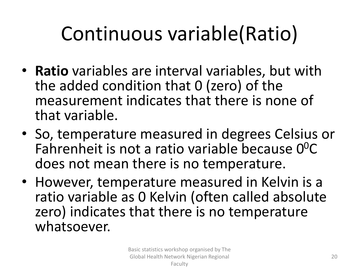# Continuous variable(Ratio)

- **Ratio** variables are interval variables, but with the added condition that 0 (zero) of the measurement indicates that there is none of that variable.
- So, temperature measured in degrees Celsius or Fahrenheit is not a ratio variable because  $0^0C$ does not mean there is no temperature.
- However, temperature measured in Kelvin is a ratio variable as 0 Kelvin (often called absolute zero) indicates that there is no temperature whatsoever.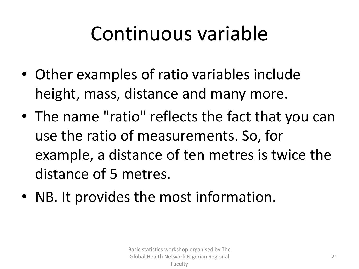### Continuous variable

- Other examples of ratio variables include height, mass, distance and many more.
- The name "ratio" reflects the fact that you can use the ratio of measurements. So, for example, a distance of ten metres is twice the distance of 5 metres.
- NB. It provides the most information.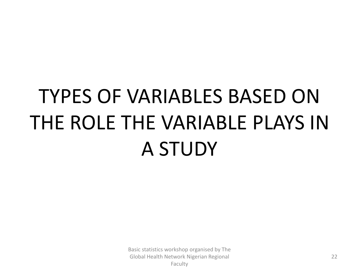# TYPES OF VARIABLES BASED ON THE ROLE THE VARIABLE PLAYS IN A STUDY

Basic statistics workshop organised by The Global Health Network Nigerian Regional Faculty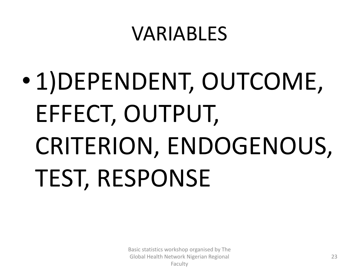### VARIABLES

• 1)DEPENDENT, OUTCOME, EFFECT, OUTPUT, CRITERION, ENDOGENOUS, TEST, RESPONSE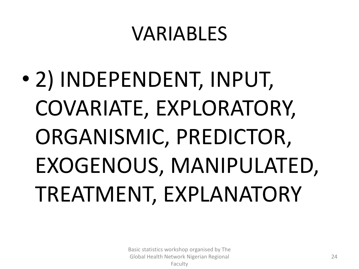### VARIABLES

• 2) INDEPENDENT, INPUT, COVARIATE, EXPLORATORY, ORGANISMIC, PREDICTOR, EXOGENOUS, MANIPULATED, TREATMENT, EXPLANATORY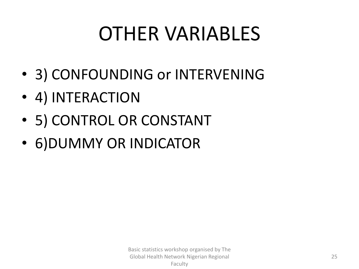### OTHER VARIABLES

- 3) CONFOUNDING or INTERVENING
- 4) INTERACTION
- 5) CONTROL OR CONSTANT
- 6)DUMMY OR INDICATOR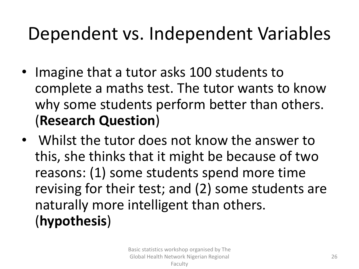#### Dependent vs. Independent Variables

- Imagine that a tutor asks 100 students to complete a maths test. The tutor wants to know why some students perform better than others. (**Research Question**)
- Whilst the tutor does not know the answer to this, she thinks that it might be because of two reasons: (1) some students spend more time revising for their test; and (2) some students are naturally more intelligent than others. (**hypothesis**)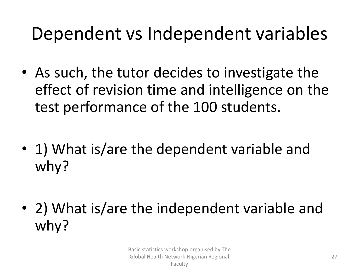#### Dependent vs Independent variables

- As such, the tutor decides to investigate the effect of revision time and intelligence on the test performance of the 100 students.
- 1) What is/are the dependent variable and why?
- 2) What is/are the independent variable and why?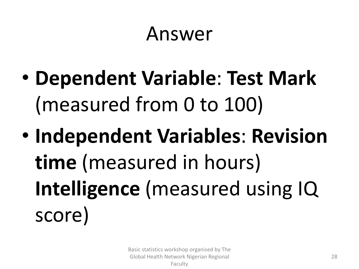#### Answer

- **Dependent Variable**: **Test Mark** (measured from 0 to 100)
- **Independent Variables**: **Revision time** (measured in hours) **Intelligence** (measured using IQ score)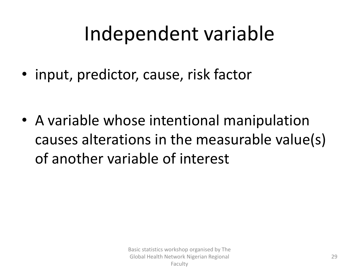### Independent variable

• input, predictor, cause, risk factor

• A variable whose intentional manipulation causes alterations in the measurable value(s) of another variable of interest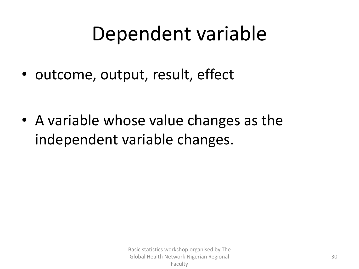### Dependent variable

• outcome, output, result, effect

• A variable whose value changes as the independent variable changes.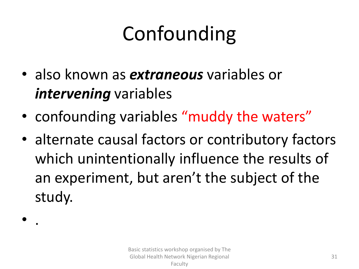# Confounding

• also known as *extraneous* variables or *intervening* variables

• .

- confounding variables "muddy the waters"
- alternate causal factors or contributory factors which unintentionally influence the results of an experiment, but aren't the subject of the study.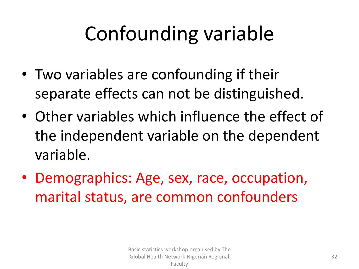- Two variables are confounding if their separate effects can not be distinguished.
- Other variables which influence the effect of the independent variable on the dependent variable.
- Demographics: Age, sex, race, occupation, marital status, are common confounders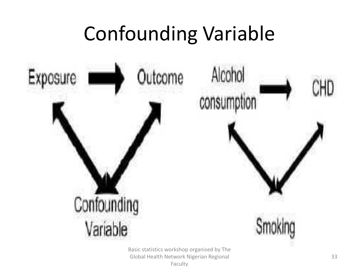

Basic statistics workshop organised by The Global Health Network Nigerian Regional Faculty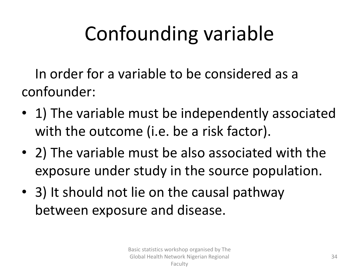In order for a variable to be considered as a confounder:

- 1) The variable must be independently associated with the outcome (i.e. be a risk factor).
- 2) The variable must be also associated with the exposure under study in the source population.
- 3) It should not lie on the causal pathway between exposure and disease.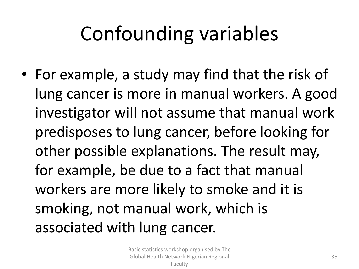• For example, a study may find that the risk of lung cancer is more in manual workers. A good investigator will not assume that manual work predisposes to lung cancer, before looking for other possible explanations. The result may, for example, be due to a fact that manual workers are more likely to smoke and it is smoking, not manual work, which is associated with lung cancer.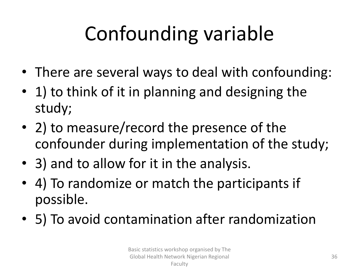- There are several ways to deal with confounding:
- 1) to think of it in planning and designing the study;
- 2) to measure/record the presence of the confounder during implementation of the study;
- 3) and to allow for it in the analysis.
- 4) To randomize or match the participants if possible.
- 5) To avoid contamination after randomization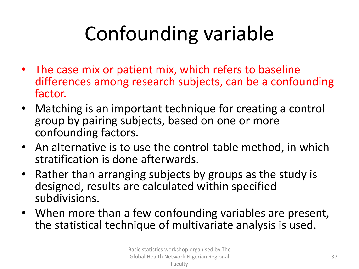- The case mix or patient mix, which refers to baseline differences among research subjects, can be a confounding factor.
- Matching is an important technique for creating a control group by pairing subjects, based on one or more confounding factors.
- An alternative is to use the control-table method, in which stratification is done afterwards.
- Rather than arranging subjects by groups as the study is designed, results are calculated within specified subdivisions.
- When more than a few confounding variables are present, the statistical technique of multivariate analysis is used.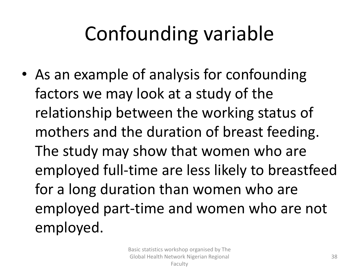• As an example of analysis for confounding factors we may look at a study of the relationship between the working status of mothers and the duration of breast feeding. The study may show that women who are employed full-time are less likely to breastfeed for a long duration than women who are employed part-time and women who are not employed.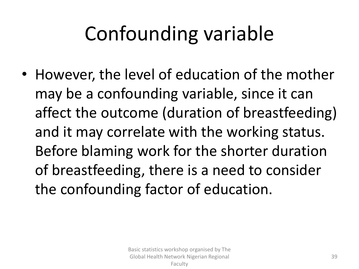• However, the level of education of the mother may be a confounding variable, since it can affect the outcome (duration of breastfeeding) and it may correlate with the working status. Before blaming work for the shorter duration of breastfeeding, there is a need to consider the confounding factor of education.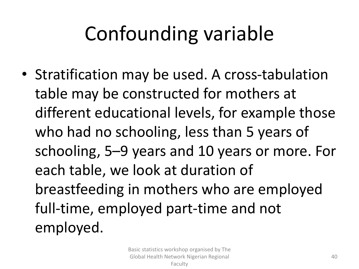• Stratification may be used. A cross-tabulation table may be constructed for mothers at different educational levels, for example those who had no schooling, less than 5 years of schooling, 5–9 years and 10 years or more. For each table, we look at duration of breastfeeding in mothers who are employed full-time, employed part-time and not employed.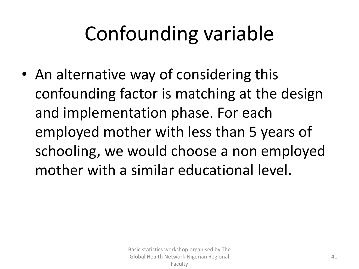• An alternative way of considering this confounding factor is matching at the design and implementation phase. For each employed mother with less than 5 years of schooling, we would choose a non employed mother with a similar educational level.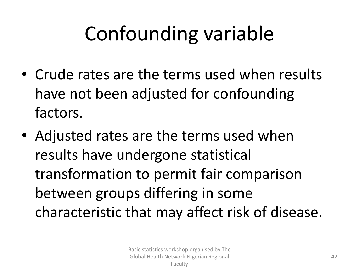- Crude rates are the terms used when results have not been adjusted for confounding factors.
- Adjusted rates are the terms used when results have undergone statistical transformation to permit fair comparison between groups differing in some characteristic that may affect risk of disease.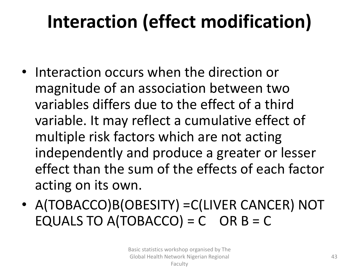### **Interaction (effect modification)**

- Interaction occurs when the direction or magnitude of an association between two variables differs due to the effect of a third variable. It may reflect a cumulative effect of multiple risk factors which are not acting independently and produce a greater or lesser effect than the sum of the effects of each factor acting on its own.
- A(TOBACCO)B(OBESITY) =C(LIVER CANCER) NOT EQUALS TO A(TOBACCO) =  $C$  OR B = C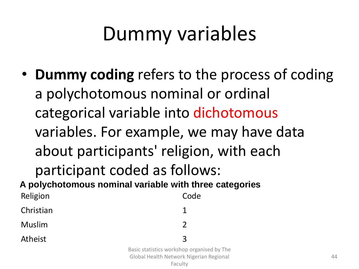### Dummy variables

• **Dummy coding** refers to the process of coding a polychotomous nominal or ordinal categorical variable into dichotomous variables. For example, we may have data about participants' religion, with each participant coded as follows: Religion **Code** Christian 1 Muslim 2 **A polychotomous nominal variable with three categories**

Atheist 3

Basic statistics workshop organised by The Global Health Network Nigerian Regional Faculty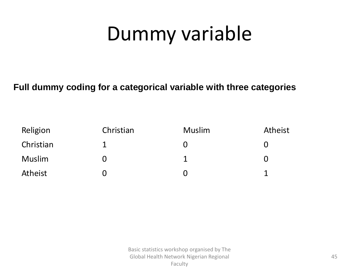## Dummy variable

#### **Full dummy coding for a categorical variable with three categories**

| Religion  | Christian | <b>Muslim</b> | Atheist |
|-----------|-----------|---------------|---------|
| Christian |           | 0             |         |
| Muslim    |           |               |         |
| Atheist   |           |               |         |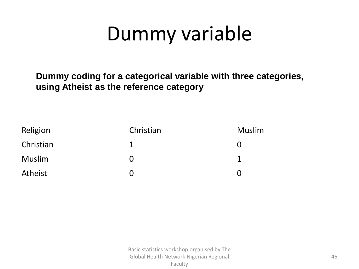### Dummy variable

**Dummy coding for a categorical variable with three categories, using Atheist as the reference category**

| Religion  | Christian | <b>Muslim</b>     |
|-----------|-----------|-------------------|
| Christian |           | $\mathbf{U}$      |
| Muslim    | 0         |                   |
| Atheist   |           | $\mathbf{\Omega}$ |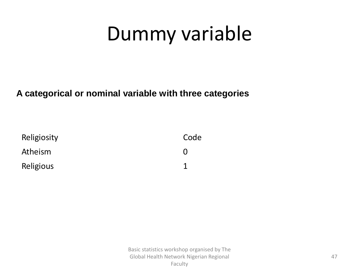### Dummy variable

#### **A categorical or nominal variable with three categories**

| Religiosity | Code |
|-------------|------|
| Atheism     |      |
| Religious   |      |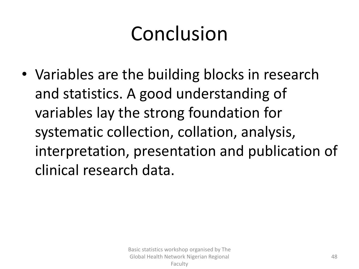# Conclusion

• Variables are the building blocks in research and statistics. A good understanding of variables lay the strong foundation for systematic collection, collation, analysis, interpretation, presentation and publication of clinical research data.